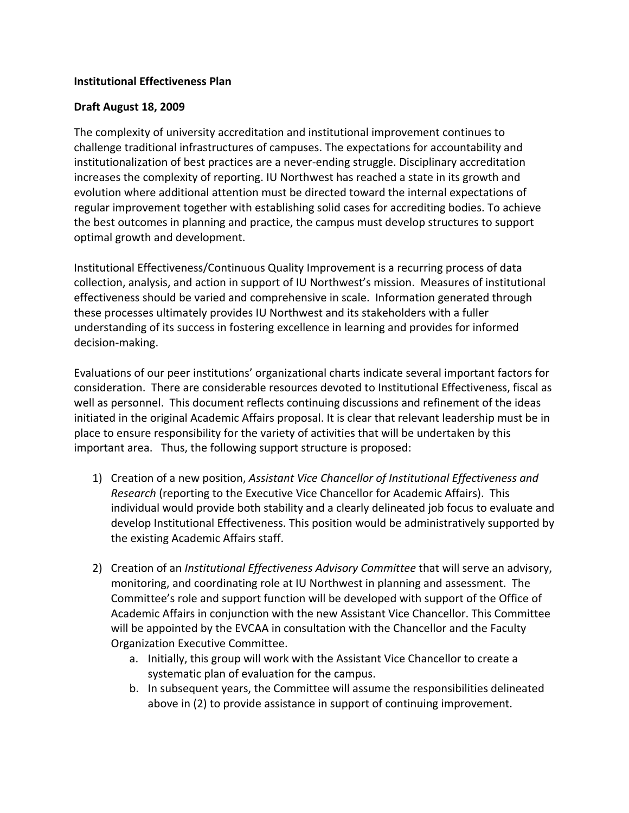## **Institutional Effectiveness Plan**

## **Draft August 18, 2009**

The complexity of university accreditation and institutional improvement continues to challenge traditional infrastructures of campuses. The expectations for accountability and institutionalization of best practices are a never-ending struggle. Disciplinary accreditation increases the complexity of reporting. IU Northwest has reached a state in its growth and evolution where additional attention must be directed toward the internal expectations of regular improvement together with establishing solid cases for accrediting bodies. To achieve the best outcomes in planning and practice, the campus must develop structures to support optimal growth and development.

Institutional Effectiveness/Continuous Quality Improvement is a recurring process of data collection, analysis, and action in support of IU Northwest's mission. Measures of institutional effectiveness should be varied and comprehensive in scale. Information generated through these processes ultimately provides IU Northwest and its stakeholders with a fuller understanding of its success in fostering excellence in learning and provides for informed decision-making.

Evaluations of our peer institutions' organizational charts indicate several important factors for consideration. There are considerable resources devoted to Institutional Effectiveness, fiscal as well as personnel. This document reflects continuing discussions and refinement of the ideas initiated in the original Academic Affairs proposal. It is clear that relevant leadership must be in place to ensure responsibility for the variety of activities that will be undertaken by this important area. Thus, the following support structure is proposed:

- 1) Creation of a new position, *Assistant Vice Chancellor of Institutional Effectiveness and Research* (reporting to the Executive Vice Chancellor for Academic Affairs). This individual would provide both stability and a clearly delineated job focus to evaluate and develop Institutional Effectiveness. This position would be administratively supported by the existing Academic Affairs staff.
- 2) Creation of an *Institutional Effectiveness Advisory Committee* that will serve an advisory, monitoring, and coordinating role at IU Northwest in planning and assessment. The Committee's role and support function will be developed with support of the Office of Academic Affairs in conjunction with the new Assistant Vice Chancellor. This Committee will be appointed by the EVCAA in consultation with the Chancellor and the Faculty Organization Executive Committee.
	- a. Initially, this group will work with the Assistant Vice Chancellor to create a systematic plan of evaluation for the campus.
	- b. In subsequent years, the Committee will assume the responsibilities delineated above in (2) to provide assistance in support of continuing improvement.